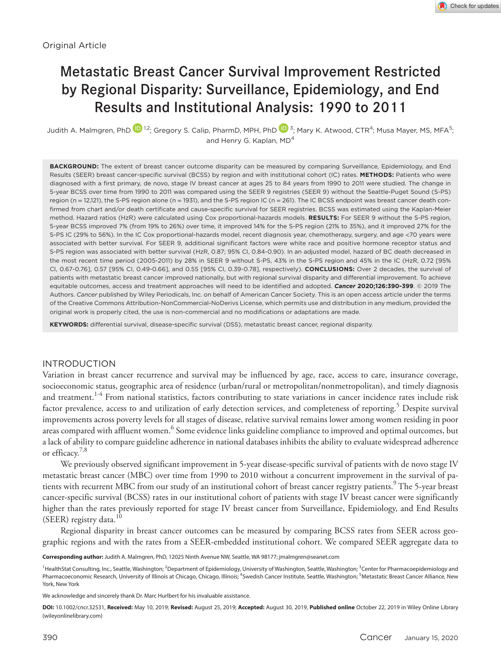# Metastatic Breast Cancer Survival Improvement Restricted by Regional Disparity: Surveillance, Epidemiology, and End Results and Institutional Analysis: 1990 to 2011

Judith A. Malmgren, PhD  $\mathbf{D}^{1,2}$ ; Gregory S. Calip, PharmD, MPH, PhD  $\mathbf{D}^{3}$  $\mathbf{D}^{3}$  $\mathbf{D}^{3}$ ; Mary K. Atwood, CTR<sup>4</sup>; Musa Mayer, MS, MFA<sup>5</sup>; and Henry G. Kaplan, MD<sup>4</sup>

**BACKGROUND:** The extent of breast cancer outcome disparity can be measured by comparing Surveillance, Epidemiology, and End Results (SEER) breast cancer-specific survival (BCSS) by region and with institutional cohort (IC) rates. **METHODS:** Patients who were diagnosed with a first primary, de novo, stage IV breast cancer at ages 25 to 84 years from 1990 to 2011 were studied. The change in 5-year BCSS over time from 1990 to 2011 was compared using the SEER 9 registries (SEER 9) without the Seattle-Puget Sound (S-PS) region (n = 12,121), the S-PS region alone (n = 1931), and the S-PS region IC (n = 261). The IC BCSS endpoint was breast cancer death confirmed from chart and/or death certificate and cause-specific survival for SEER registries. BCSS was estimated using the Kaplan-Meier method. Hazard ratios (HzR) were calculated using Cox proportional-hazards models. **RESULTS:** For SEER 9 without the S-PS region, 5-year BCSS improved 7% (from 19% to 26%) over time, it improved 14% for the S-PS region (21% to 35%), and it improved 27% for the S-PS IC (29% to 56%). In the IC Cox proportional-hazards model, recent diagnosis year, chemotherapy, surgery, and age <70 years were associated with better survival. For SEER 9, additional significant factors were white race and positive hormone receptor status and S-PS region was associated with better survival (HzR, 0.87; 95% CI, 0.84-0.90). In an adjusted model, hazard of BC death decreased in the most recent time period (2005-2011) by 28% in SEER 9 without S-PS, 43% in the S-PS region and 45% in the IC (HzR, 0.72 [95% CI, 0.67-0.76], 0.57 [95% CI, 0.49-0.66], and 0.55 [95% CI, 0.39-0.78], respectively). **CONCLUSIONS:** Over 2 decades, the survival of patients with metastatic breast cancer improved nationally, but with regional survival disparity and differential improvement. To achieve equitable outcomes, access and treatment approaches will need to be identified and adopted. *Cancer* **2020;126:390-399**. © 2019 The Authors. *Cancer* published by Wiley Periodicals, Inc. on behalf of American Cancer Society. This is an open access article under the terms of the [Creative Commons Attribution-NonCommercial-NoDerivs](http://creativecommons.org/licenses/by-nc-nd/4.0/) License, which permits use and distribution in any medium, provided the original work is properly cited, the use is non-commercial and no modifications or adaptations are made.

**KEYWORDS:** differential survival, disease-specific survival (DSS), metastatic breast cancer, regional disparity.

# INTRODUCTION

Variation in breast cancer recurrence and survival may be influenced by age, race, access to care, insurance coverage, socioeconomic status, geographic area of residence (urban/rural or metropolitan/nonmetropolitan), and timely diagnosis and treatment.<sup>1-4</sup> From national statistics, factors contributing to state variations in cancer incidence rates include risk factor prevalence, access to and utilization of early detection services, and completeness of reporting.<sup>5</sup> Despite survival improvements across poverty levels for all stages of disease, relative survival remains lower among women residing in poor areas compared with affluent women.<sup>6</sup> Some evidence links guideline compliance to improved and optimal outcomes, but a lack of ability to compare guideline adherence in national databases inhibits the ability to evaluate widespread adherence or efficacy.7,8

We previously observed significant improvement in 5-year disease-specific survival of patients with de novo stage IV metastatic breast cancer (MBC) over time from 1990 to 2010 without a concurrent improvement in the survival of patients with recurrent MBC from our study of an institutional cohort of breast cancer registry patients.<sup>9</sup> The 5-year breast cancer-specific survival (BCSS) rates in our institutional cohort of patients with stage IV breast cancer were significantly higher than the rates previously reported for stage IV breast cancer from Surveillance, Epidemiology, and End Results (SEER) registry data.<sup>10</sup>

Regional disparity in breast cancer outcomes can be measured by comparing BCSS rates from SEER across geographic regions and with the rates from a SEER-embedded institutional cohort. We compared SEER aggregate data to

**Corresponding author:** Judith A. Malmgren, PhD, 12025 Ninth Avenue NW, Seattle, WA 98177; [jmalmgren@seanet.com](mailto:jmalmgren@seanet.com)

<sup>1</sup> HealthStat Consulting, Inc., Seattle, Washington; <sup>2</sup> Department of Epidemiology, University of Washington, Seattle, Washington; <sup>3</sup> Center for Pharmacoepidemiology and Pharmacoeconomic Research, University of Illinois at Chicago, Chicago, Illinois; <sup>4</sup>Swedish Cancer Institute, Seattle, Washington; <sup>5</sup>Metastatic Breast Cancer Alliance, New York, New York

We acknowledge and sincerely thank Dr. Marc Hurlbert for his invaluable assistance.

**DOI:** 10.1002/cncr.32531, **Received:** May 10, 2019; **Revised:** August 25, 2019; **Accepted:** August 30, 2019, **Published online** October 22, 2019 in Wiley Online Library (wileyonlinelibrary.com)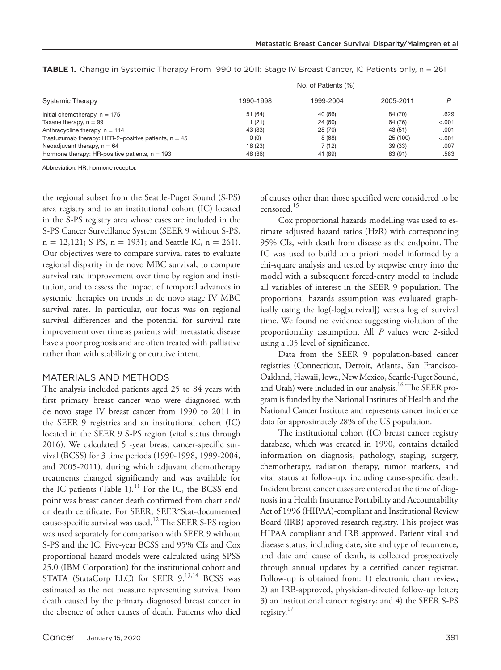| Systemic Therapy                                       | No. of Patients (%) |           |           |         |
|--------------------------------------------------------|---------------------|-----------|-----------|---------|
|                                                        | 1990-1998           | 1999-2004 | 2005-2011 |         |
| Initial chemotherapy, $n = 175$                        | 51 (64)             | 40 (66)   | 84 (70)   | .629    |
| Taxane therapy, $n = 99$                               | 11(21)              | 24 (60)   | 64 (76)   | $-.001$ |
| Anthracycline therapy, $n = 114$                       | 43 (83)             | 28 (70)   | 43 (51)   | .001    |
| Trastuzumab therapy: HER-2-positive patients, $n = 45$ | 0(0)                | 8(68)     | 25 (100)  | $-.001$ |
| Neoadjuvant therapy, $n = 64$                          | 18(23)              | 7(12)     | 39(33)    | .007    |
| Hormone therapy: HR-positive patients, $n = 193$       | 48 (86)             | 41 (89)   | 83 (91)   | .583    |

**TABLE 1.** Change in Systemic Therapy From 1990 to 2011: Stage IV Breast Cancer, IC Patients only, n = 261

Abbreviation: HR, hormone receptor.

the regional subset from the Seattle-Puget Sound (S-PS) area registry and to an institutional cohort (IC) located in the S-PS registry area whose cases are included in the S-PS Cancer Surveillance System (SEER 9 without S-PS,  $n = 12,121$ ; S-PS,  $n = 1931$ ; and Seattle IC,  $n = 261$ ). Our objectives were to compare survival rates to evaluate regional disparity in de novo MBC survival, to compare survival rate improvement over time by region and institution, and to assess the impact of temporal advances in systemic therapies on trends in de novo stage IV MBC survival rates. In particular, our focus was on regional survival differences and the potential for survival rate improvement over time as patients with metastatic disease have a poor prognosis and are often treated with palliative rather than with stabilizing or curative intent.

#### MATERIALS AND METHODS

The analysis included patients aged 25 to 84 years with first primary breast cancer who were diagnosed with de novo stage IV breast cancer from 1990 to 2011 in the SEER 9 registries and an institutional cohort (IC) located in the SEER 9 S-PS region (vital status through 2016). We calculated 5 -year breast cancer-specific survival (BCSS) for 3 time periods (1990-1998, 1999-2004, and 2005-2011), during which adjuvant chemotherapy treatments changed significantly and was available for the IC patients (Table 1).<sup>11</sup> For the IC, the BCSS endpoint was breast cancer death confirmed from chart and/ or death certificate. For SEER, SEER\*Stat-documented cause-specific survival was used.<sup>12</sup> The SEER S-PS region was used separately for comparison with SEER 9 without S-PS and the IC. Five-year BCSS and 95% CIs and Cox proportional hazard models were calculated using SPSS 25.0 (IBM Corporation) for the institutional cohort and STATA (StataCorp LLC) for SEER 9.<sup>13,14</sup> BCSS was estimated as the net measure representing survival from death caused by the primary diagnosed breast cancer in the absence of other causes of death. Patients who died

of causes other than those specified were considered to be censored.<sup>15</sup>

Cox proportional hazards modelling was used to estimate adjusted hazard ratios (HzR) with corresponding 95% CIs, with death from disease as the endpoint. The IC was used to build an a priori model informed by a chi-square analysis and tested by stepwise entry into the model with a subsequent forced-entry model to include all variables of interest in the SEER 9 population. The proportional hazards assumption was evaluated graphically using the log(-log[survival]) versus log of survival time. We found no evidence suggesting violation of the proportionality assumption. All *P* values were 2-sided using a .05 level of significance.

Data from the SEER 9 population-based cancer registries (Connecticut, Detroit, Atlanta, San Francisco-Oakland, Hawaii, Iowa, New Mexico, Seattle-Puget Sound, and Utah) were included in our analysis.<sup>16</sup> The SEER program is funded by the National Institutes of Health and the National Cancer Institute and represents cancer incidence data for approximately 28% of the US population.

The institutional cohort (IC) breast cancer registry database, which was created in 1990, contains detailed information on diagnosis, pathology, staging, surgery, chemotherapy, radiation therapy, tumor markers, and vital status at follow-up, including cause-specific death. Incident breast cancer cases are entered at the time of diagnosis in a Health Insurance Portability and Accountability Act of 1996 (HIPAA)-compliant and Institutional Review Board (IRB)-approved research registry. This project was HIPAA compliant and IRB approved. Patient vital and disease status, including date, site and type of recurrence, and date and cause of death, is collected prospectively through annual updates by a certified cancer registrar. Follow-up is obtained from: 1) electronic chart review; 2) an IRB-approved, physician-directed follow-up letter; 3) an institutional cancer registry; and 4) the SEER S-PS registry. $17$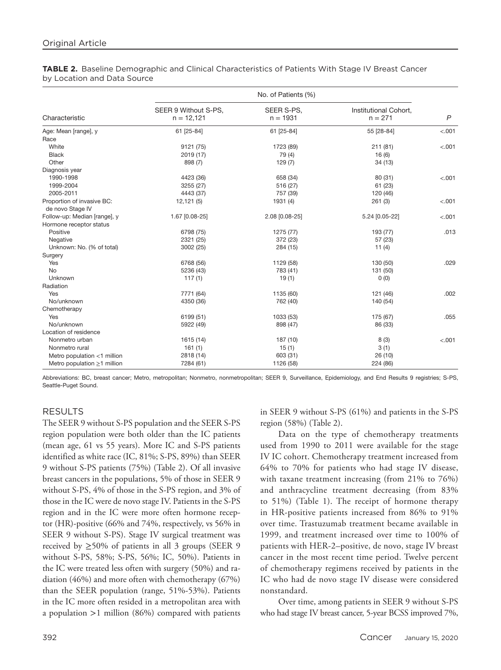|                                   | No. of Patients (%)                  |                          |                                    |                |
|-----------------------------------|--------------------------------------|--------------------------|------------------------------------|----------------|
| Characteristic                    | SEER 9 Without S-PS,<br>$n = 12,121$ | SEER S-PS,<br>$n = 1931$ | Institutional Cohort,<br>$n = 271$ | $\overline{P}$ |
| Age: Mean [range], y              | 61 [25-84]                           | 61 [25-84]               | 55 [28-84]                         | < .001         |
| Race                              |                                      |                          |                                    |                |
| White                             | 9121 (75)                            | 1723 (89)                | 211(81)                            | < .001         |
| <b>Black</b>                      | 2019 (17)                            | 79 (4)                   | 16(6)                              |                |
| Other                             | 898 (7)                              | 129(7)                   | 34(13)                             |                |
| Diagnosis year                    |                                      |                          |                                    |                |
| 1990-1998                         | 4423 (36)                            | 658 (34)                 | 80 (31)                            | < .001         |
| 1999-2004                         | 3255 (27)                            | 516 (27)                 | 61 (23)                            |                |
| 2005-2011                         | 4443 (37)                            | 757 (39)                 | 120 (46)                           |                |
| Proportion of invasive BC:        | 12,121(5)                            | 1931 (4)                 | 261(3)                             | < .001         |
| de novo Stage IV                  |                                      |                          |                                    |                |
| Follow-up: Median [range], y      | 1.67 [0.08-25]                       | 2.08 [0.08-25]           | 5.24 [0.05-22]                     | < .001         |
| Hormone receptor status           |                                      |                          |                                    |                |
| Positive                          | 6798 (75)                            | 1275 (77)                | 193 (77)                           | .013           |
| Negative                          | 2321 (25)                            | 372 (23)                 | 57(23)                             |                |
| Unknown: No. (% of total)         | 3002 (25)                            | 284 (15)                 | 11 $(4)$                           |                |
| Surgery                           |                                      |                          |                                    |                |
| Yes                               | 6768 (56)                            | 1129 (58)                | 130 (50)                           | .029           |
| <b>No</b><br>Unknown              | 5236 (43)                            | 783 (41)                 | 131 (50)                           |                |
|                                   | 117(1)                               | 19(1)                    | 0(0)                               |                |
| Radiation<br>Yes                  |                                      |                          |                                    |                |
|                                   | 7771 (64)                            | 1135 (60)                | 121 (46)                           | .002           |
| No/unknown                        | 4350 (36)                            | 762 (40)                 | 140 (54)                           |                |
| Chemotherapy<br>Yes               |                                      |                          |                                    |                |
|                                   | 6199 (51)                            | 1033 (53)                | 175 (67)                           | .055           |
| No/unknown                        | 5922 (49)                            | 898 (47)                 | 86 (33)                            |                |
| Location of residence             |                                      |                          |                                    |                |
| Nonmetro urban                    | 1615 (14)                            | 187 (10)                 | 8(3)                               | < .001         |
| Nonmetro rural                    | 161(1)                               | 15(1)                    | 3(1)                               |                |
| Metro population <1 million       | 2818 (14)                            | 603 (31)                 | 26 (10)                            |                |
| Metro population $\geq$ 1 million | 7284 (61)                            | 1126 (58)                | 224 (86)                           |                |

## **TABLE 2.** Baseline Demographic and Clinical Characteristics of Patients With Stage IV Breast Cancer by Location and Data Source

Abbreviations: BC, breast cancer; Metro, metropolitan; Nonmetro, nonmetropolitan; SEER 9, Surveillance, Epidemiology, and End Results 9 registries; S-PS, Seattle-Puget Sound.

# RESULTS

The SEER 9 without S-PS population and the SEER S-PS region population were both older than the IC patients (mean age, 61 vs 55 years). More IC and S-PS patients identified as white race (IC, 81%; S-PS, 89%) than SEER 9 without S-PS patients (75%) (Table 2). Of all invasive breast cancers in the populations, 5% of those in SEER 9 without S-PS, 4% of those in the S-PS region, and 3% of those in the IC were de novo stage IV. Patients in the S-PS region and in the IC were more often hormone receptor (HR)-positive (66% and 74%, respectively, vs 56% in SEER 9 without S-PS). Stage IV surgical treatment was received by  $\geq$ 50% of patients in all 3 groups (SEER 9 without S-PS, 58%; S-PS, 56%; IC, 50%). Patients in the IC were treated less often with surgery (50%) and radiation (46%) and more often with chemotherapy (67%) than the SEER population (range, 51%-53%). Patients in the IC more often resided in a metropolitan area with a population >1 million (86%) compared with patients

in SEER 9 without S-PS (61%) and patients in the S-PS region (58%) (Table 2).

Data on the type of chemotherapy treatments used from 1990 to 2011 were available for the stage IV IC cohort. Chemotherapy treatment increased from 64% to 70% for patients who had stage IV disease, with taxane treatment increasing (from 21% to 76%) and anthracycline treatment decreasing (from 83% to 51%) (Table 1). The receipt of hormone therapy in HR-positive patients increased from 86% to 91% over time. Trastuzumab treatment became available in 1999, and treatment increased over time to 100% of patients with HER-2–positive, de novo, stage IV breast cancer in the most recent time period. Twelve percent of chemotherapy regimens received by patients in the IC who had de novo stage IV disease were considered nonstandard.

Over time, among patients in SEER 9 without S-PS who had stage IV breast cancer, 5-year BCSS improved 7%,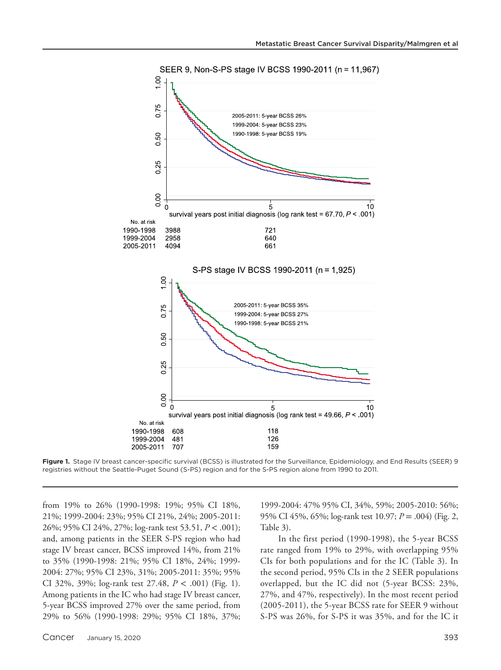



from 19% to 26% (1990-1998: 19%; 95% CI 18%, 21%; 1999-2004: 23%; 95% CI 21%, 24%; 2005-2011: 26%; 95% CI 24%, 27%; log-rank test 53.51, *P* < .001); and, among patients in the SEER S-PS region who had stage IV breast cancer, BCSS improved 14%, from 21% to 35% (1990-1998: 21%; 95% CI 18%, 24%; 1999- 2004: 27%; 95% CI 23%, 31%; 2005-2011: 35%; 95% CI 32%, 39%; log-rank test 27.48, *P* < .001) (Fig. 1). Among patients in the IC who had stage IV breast cancer, 5-year BCSS improved 27% over the same period, from 29% to 56% (1990-1998: 29%; 95% CI 18%, 37%; 1999-2004: 47% 95% CI, 34%, 59%; 2005-2010: 56%; 95% CI 45%, 65%; log-rank test 10.97; *P* = .004) (Fig. 2, Table 3).

In the first period (1990-1998), the 5-year BCSS rate ranged from 19% to 29%, with overlapping 95% CIs for both populations and for the IC (Table 3). In the second period, 95% CIs in the 2 SEER populations overlapped, but the IC did not (5-year BCSS: 23%, 27%, and 47%, respectively). In the most recent period (2005-2011), the 5-year BCSS rate for SEER 9 without S-PS was 26%, for S-PS it was 35%, and for the IC it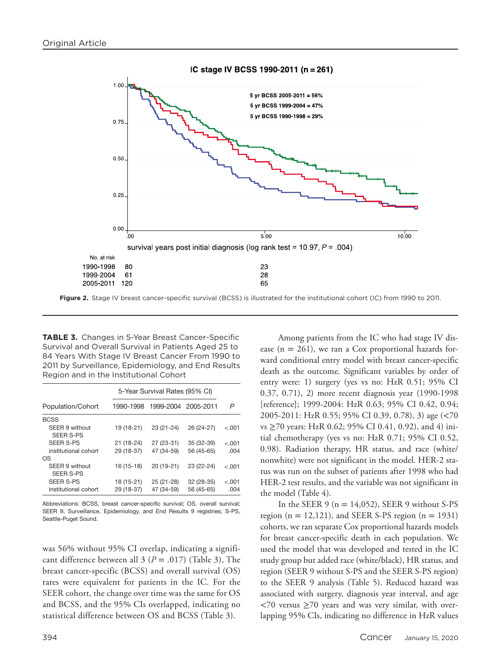#### IC stage IV BCSS 1990-2011 (n = 261)



**TABLE 3.** Changes in 5-Year Breast Cancer-Specific Survival and Overall Survival in Patients Aged 25 to 84 Years With Stage IV Breast Cancer From 1990 to 2011 by Surveillance, Epidemiology, and End Results Region and in the Institutional Cohort

|                                    | 5-Year Survival Rates (95% CI) |                     |            |         |
|------------------------------------|--------------------------------|---------------------|------------|---------|
| Population/Cohort                  | 1990-1998                      | 1999-2004 2005-2011 |            | P       |
| <b>BCSS</b>                        |                                |                     |            |         |
| SEER 9 without<br><b>SEER S-PS</b> | 19 (18-21)                     | 23 (21-24)          | 26 (24-27) | $-.001$ |
| <b>SEER S-PS</b>                   | $21(18-24)$                    | 27 (23-31)          | 35 (32-39) | $-.001$ |
| institutional cohort               | 29 (18-37)                     | 47 (34-59)          | 56 (45-65) | .004    |
| OS                                 |                                |                     |            |         |
| SEER 9 without<br><b>SEER S-PS</b> | 16 (15-18)                     | 20 (19-21)          | 23 (22-24) | $-.001$ |
| <b>SEER S-PS</b>                   | 18 (15-21)                     | 25 (21-28)          | 32 (28-35) | $-.001$ |
| institutional cohort               | 29 (18-37)                     | 47 (34-59)          | 56 (45-65) | .004    |

Abbreviations: BCSS, breast cancer-specific survival; OS, overall survival; SEER 9, Surveillance, Epidemiology, and End Results 9 registries; S-PS, Seattle-Puget Sound.

was 56% without 95% CI overlap, indicating a significant difference between all  $3 (P = .017)$  (Table 3), The breast cancer-specific (BCSS) and overall survival (OS) rates were equivalent for patients in the IC. For the SEER cohort, the change over time was the same for OS and BCSS, and the 95% CIs overlapped, indicating no statistical difference between OS and BCSS (Table 3).

Among patients from the IC who had stage IV disease  $(n = 261)$ , we ran a Cox proportional hazards forward conditional entry model with breast cancer-specific death as the outcome. Significant variables by order of entry were: 1) surgery (yes vs no: HzR 0.51; 95% CI 0.37, 0.71), 2) more recent diagnosis year (1990-1998 [reference]; 1999-2004: HzR 0.63; 95% CI 0.42, 0.94; 2005-2011: HzR 0.55; 95% CI 0.39, 0.78), 3) age (<70 vs ≥70 years: HzR 0.62; 95% CI 0.41, 0.92), and 4) initial chemotherapy (yes vs no: HzR 0.71; 95% CI 0.52, 0.98). Radiation therapy, HR status, and race (white/ nonwhite) were not significant in the model. HER-2 status was run on the subset of patients after 1998 who had HER-2 test results, and the variable was not significant in the model (Table 4).

In the SEER 9 ( $n = 14,052$ ), SEER 9 without S-PS region ( $n = 12,121$ ), and SEER S-PS region ( $n = 1931$ ) cohorts, we ran separate Cox proportional hazards models for breast cancer-specific death in each population. We used the model that was developed and tested in the IC study group but added race (white/black), HR status, and region (SEER 9 without S-PS and the SEER S-PS region) to the SEER 9 analysis (Table 5). Reduced hazard was associated with surgery, diagnosis year interval, and age  $<70$  versus  $\geq70$  years and was very similar, with overlapping 95% CIs, indicating no difference in HzR values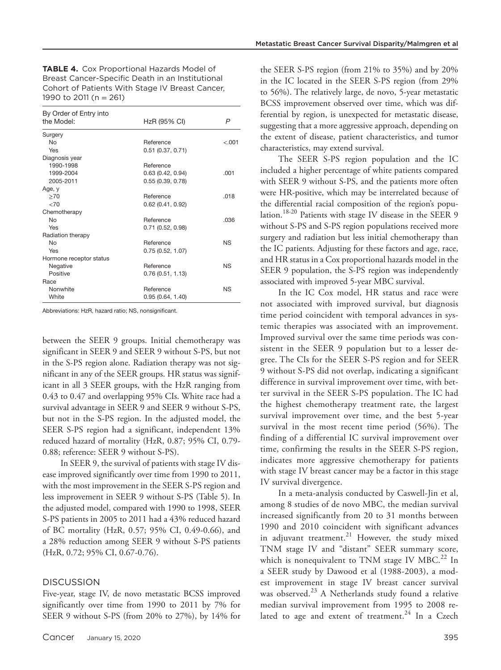**TABLE 4.** Cox Proportional Hazards Model of Breast Cancer-Specific Death in an Institutional Cohort of Patients With Stage IV Breast Cancer, 1990 to 2011 (n = 261)

| By Order of Entry into  |                     |         |
|-------------------------|---------------------|---------|
| the Model:              | HzR (95% CI)        | P       |
| Surgery                 |                     |         |
| No                      | Reference           | $-.001$ |
| Yes                     | 0.51(0.37, 0.71)    |         |
| Diagnosis year          |                     |         |
| 1990-1998               | Reference           |         |
| 1999-2004               | 0.63(0.42, 0.94)    | .001    |
| 2005-2011               | 0.55(0.39, 0.78)    |         |
| Age, y                  |                     |         |
| >70                     | Reference           | .018    |
| ${<}70$                 | 0.62(0.41, 0.92)    |         |
| Chemotherapy            |                     |         |
| No                      | Reference           | .036    |
| Yes                     | $0.71$ (0.52, 0.98) |         |
| Radiation therapy       |                     |         |
| No                      | Reference           | ΝS      |
| Yes                     | 0.75(0.52, 1.07)    |         |
| Hormone receptor status |                     |         |
| Negative                | Reference           | ΝS      |
| Positive                | 0.76(0.51, 1.13)    |         |
| Race                    |                     |         |
| Nonwhite                | Reference           | NS      |
| White                   | 0.95(0.64, 1.40)    |         |

Abbreviations: HzR, hazard ratio; NS, nonsignificant.

between the SEER 9 groups. Initial chemotherapy was significant in SEER 9 and SEER 9 without S-PS, but not in the S-PS region alone. Radiation therapy was not significant in any of the SEER groups. HR status was significant in all 3 SEER groups, with the HzR ranging from 0.43 to 0.47 and overlapping 95% CIs. White race had a survival advantage in SEER 9 and SEER 9 without S-PS, but not in the S-PS region. In the adjusted model, the SEER S-PS region had a significant, independent 13% reduced hazard of mortality (HzR, 0.87; 95% CI, 0.79- 0.88; reference: SEER 9 without S-PS).

In SEER 9, the survival of patients with stage IV disease improved significantly over time from 1990 to 2011, with the most improvement in the SEER S-PS region and less improvement in SEER 9 without S-PS (Table 5). In the adjusted model, compared with 1990 to 1998, SEER S-PS patients in 2005 to 2011 had a 43% reduced hazard of BC mortality (HzR, 0.57; 95% CI, 0.49-0.66), and a 28% reduction among SEER 9 without S-PS patients (HzR, 0.72; 95% CI, 0.67-0.76).

### **DISCUSSION**

Five-year, stage IV, de novo metastatic BCSS improved significantly over time from 1990 to 2011 by 7% for SEER 9 without S-PS (from 20% to 27%), by 14% for the SEER S-PS region (from 21% to 35%) and by 20% in the IC located in the SEER S-PS region (from 29% to 56%). The relatively large, de novo, 5-year metastatic BCSS improvement observed over time, which was differential by region, is unexpected for metastatic disease, suggesting that a more aggressive approach, depending on the extent of disease, patient characteristics, and tumor characteristics, may extend survival.

The SEER S-PS region population and the IC included a higher percentage of white patients compared with SEER 9 without S-PS, and the patients more often were HR-positive, which may be interrelated because of the differential racial composition of the region's population.<sup>18-20</sup> Patients with stage IV disease in the SEER 9 without S-PS and S-PS region populations received more surgery and radiation but less initial chemotherapy than the IC patients. Adjusting for these factors and age, race, and HR status in a Cox proportional hazards model in the SEER 9 population, the S-PS region was independently associated with improved 5-year MBC survival.

In the IC Cox model, HR status and race were not associated with improved survival, but diagnosis time period coincident with temporal advances in systemic therapies was associated with an improvement. Improved survival over the same time periods was consistent in the SEER 9 population but to a lesser degree. The CIs for the SEER S-PS region and for SEER 9 without S-PS did not overlap, indicating a significant difference in survival improvement over time, with better survival in the SEER S-PS population. The IC had the highest chemotherapy treatment rate, the largest survival improvement over time, and the best 5-year survival in the most recent time period (56%). The finding of a differential IC survival improvement over time, confirming the results in the SEER S-PS region, indicates more aggressive chemotherapy for patients with stage IV breast cancer may be a factor in this stage IV survival divergence.

In a meta-analysis conducted by Caswell-Jin et al, among 8 studies of de novo MBC, the median survival increased significantly from 20 to 31 months between 1990 and 2010 coincident with significant advances in adjuvant treatment. $^{21}$  However, the study mixed TNM stage IV and "distant" SEER summary score, which is nonequivalent to TNM stage IV MBC. $^{22}$  In a SEER study by Dawood et al (1988-2003), a modest improvement in stage IV breast cancer survival was observed.<sup>23</sup> A Netherlands study found a relative median survival improvement from 1995 to 2008 related to age and extent of treatment. $24$  In a Czech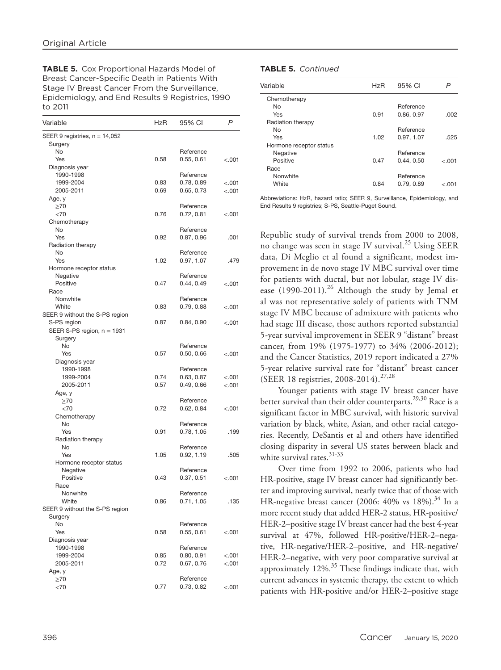**TABLE 5.** Cox Proportional Hazards Model of Breast Cancer-Specific Death in Patients With Stage IV Breast Cancer From the Surveillance, Epidemiology, and End Results 9 Registries, 1990 to 2011

| Variable                                    | HzR  | 95% CI                  | P       |
|---------------------------------------------|------|-------------------------|---------|
| SEER 9 registries, n = 14,052               |      |                         |         |
| Surgery                                     |      |                         |         |
| No                                          |      | Reference               |         |
| Yes                                         | 0.58 | 0.55, 0.61              | $-.001$ |
| Diagnosis year                              |      |                         |         |
| 1990-1998                                   |      | Reference               |         |
| 1999-2004                                   | 0.83 | 0.78, 0.89              | < 001   |
| 2005-2011                                   | 0.69 | 0.65, 0.73              | < 0.001 |
| Age, y<br>$\geq 70$                         |      | Reference               |         |
| $<$ 70                                      | 0.76 | 0.72, 0.81              | $-.001$ |
| Chemotherapy                                |      |                         |         |
| No                                          |      | Reference               |         |
| Yes                                         | 0.92 | 0.87, 0.96              | .001    |
| Radiation therapy                           |      |                         |         |
| <b>No</b>                                   |      | Reference               |         |
| Yes                                         | 1.02 | 0.97, 1.07              | .479    |
| Hormone receptor status                     |      |                         |         |
| Negative                                    |      | Reference               |         |
| Positive                                    | 0.47 | 0.44, 0.49              | < 0.001 |
| Race                                        |      |                         |         |
| Nonwhite                                    |      | Reference               |         |
| White                                       | 0.83 | 0.79, 0.88              | < 0.001 |
| SEER 9 without the S-PS region              |      | 0.84, 0.90              |         |
| S-PS region<br>SEER S-PS region, $n = 1931$ | 0.87 |                         | < 0.001 |
| Surgery                                     |      |                         |         |
| No                                          |      | Reference               |         |
| Yes                                         | 0.57 | 0.50, 0.66              | < 0.001 |
| Diagnosis year                              |      |                         |         |
| 1990-1998                                   |      | Reference               |         |
| 1999-2004                                   | 0.74 | 0.63, 0.87              | < 0.001 |
| 2005-2011                                   | 0.57 | 0.49, 0.66              | < 0.001 |
| Age, y                                      |      |                         |         |
| $\geq 70$                                   |      | Reference               |         |
| <70                                         | 0.72 | 0.62, 0.84              | < 001   |
| Chemotherapy                                |      |                         |         |
| No                                          |      | Reference               |         |
| Yes                                         | 0.91 | 0.78, 1.05              | .199    |
| Radiation therapy                           |      |                         |         |
| No<br>Yes                                   | 1.05 | Reference<br>0.92, 1.19 | .505    |
| Hormone receptor status                     |      |                         |         |
| Negative                                    |      | Reference               |         |
| Positive                                    | 0.43 | 0.37, 0.51              | < 0.001 |
| Race                                        |      |                         |         |
| Nonwhite                                    |      | Reference               |         |
| White                                       | 0.86 | 0.71, 1.05              | .135    |
| SEER 9 without the S-PS region              |      |                         |         |
| Surgery                                     |      |                         |         |
| No                                          |      | Reference               |         |
| Yes                                         | 0.58 | 0.55, 0.61              | < 0.001 |
| Diagnosis year                              |      |                         |         |
| 1990-1998                                   |      | Reference               |         |
| 1999-2004                                   | 0.85 | 0.80, 0.91              | < 0.001 |
| 2005-2011                                   | 0.72 | 0.67, 0.76              | < .001  |
| Age, y                                      |      |                         |         |
| $\geq 70$                                   |      | Reference               |         |
| <70                                         | 0.77 | 0.73, 0.82              | < .001  |

## **TABLE 5.** *Continued*

| Variable                | HzR  | 95% CI     | P       |
|-------------------------|------|------------|---------|
| Chemotherapy            |      |            |         |
| No.                     |      | Reference  |         |
| Yes                     | 0.91 | 0.86, 0.97 | .002    |
| Radiation therapy       |      |            |         |
| N <sub>o</sub>          |      | Reference  |         |
| Yes                     | 1.02 | 0.97, 1.07 | .525    |
| Hormone receptor status |      |            |         |
| Negative                |      | Reference  |         |
| Positive                | 0.47 | 0.44, 0.50 | $-.001$ |
| Race                    |      |            |         |
| Nonwhite                |      | Reference  |         |
| White                   | 0.84 | 0.79, 0.89 | ⊂.001   |

Abbreviations: HzR, hazard ratio; SEER 9, Surveillance, Epidemiology, and End Results 9 registries; S-PS, Seattle-Puget Sound.

Republic study of survival trends from 2000 to 2008, no change was seen in stage IV survival.25 Using SEER data, Di Meglio et al found a significant, modest improvement in de novo stage IV MBC survival over time for patients with ductal, but not lobular, stage IV disease  $(1990-2011).^{26}$  Although the study by Jemal et al was not representative solely of patients with TNM stage IV MBC because of admixture with patients who had stage III disease, those authors reported substantial 5-year survival improvement in SEER 9 "distant" breast cancer, from 19% (1975-1977) to 34% (2006-2012); and the Cancer Statistics, 2019 report indicated a 27% 5-year relative survival rate for "distant" breast cancer (SEER 18 registries, 2008-2014).27,28

Younger patients with stage IV breast cancer have better survival than their older counterparts.<sup>29,30</sup> Race is a significant factor in MBC survival, with historic survival variation by black, white, Asian, and other racial categories. Recently, DeSantis et al and others have identified closing disparity in several US states between black and white survival rates.  $31-33$ 

Over time from 1992 to 2006, patients who had HR-positive, stage IV breast cancer had significantly better and improving survival, nearly twice that of those with HR-negative breast cancer (2006:  $40\%$  vs 18%).<sup>34</sup> In a more recent study that added HER-2 status, HR-positive/ HER-2–positive stage IV breast cancer had the best 4-year survival at 47%, followed HR-positive/HER-2–negative, HR-negative/HER-2–positive, and HR-negative/ HER-2–negative, with very poor comparative survival at approximately  $12\%$ <sup>35</sup> These findings indicate that, with current advances in systemic therapy, the extent to which patients with HR-positive and/or HER-2–positive stage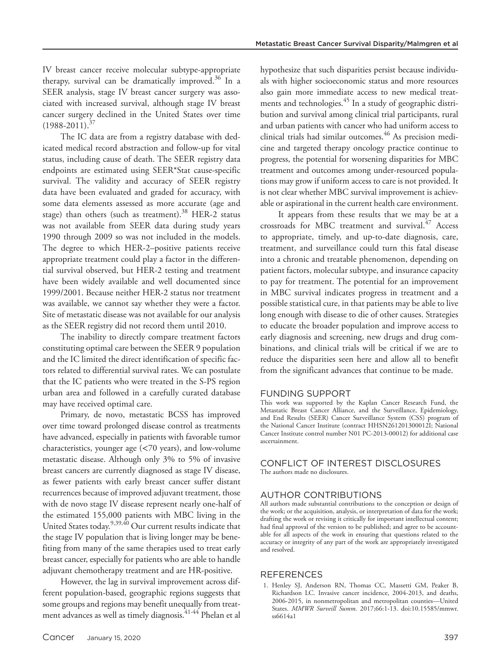IV breast cancer receive molecular subtype-appropriate therapy, survival can be dramatically improved. $36$  In a SEER analysis, stage IV breast cancer surgery was associated with increased survival, although stage IV breast cancer surgery declined in the United States over time  $(1988 - 2011).^{37}$ 

The IC data are from a registry database with dedicated medical record abstraction and follow-up for vital status, including cause of death. The SEER registry data endpoints are estimated using SEER\*Stat cause-specific survival. The validity and accuracy of SEER registry data have been evaluated and graded for accuracy, with some data elements assessed as more accurate (age and stage) than others (such as treatment). $38$  HER-2 status was not available from SEER data during study years 1990 through 2009 so was not included in the models. The degree to which HER-2–positive patients receive appropriate treatment could play a factor in the differential survival observed, but HER-2 testing and treatment have been widely available and well documented since 1999/2001. Because neither HER-2 status nor treatment was available, we cannot say whether they were a factor. Site of metastatic disease was not available for our analysis as the SEER registry did not record them until 2010.

The inability to directly compare treatment factors constituting optimal care between the SEER 9 population and the IC limited the direct identification of specific factors related to differential survival rates. We can postulate that the IC patients who were treated in the S-PS region urban area and followed in a carefully curated database may have received optimal care.

Primary, de novo, metastatic BCSS has improved over time toward prolonged disease control as treatments have advanced, especially in patients with favorable tumor characteristics, younger age (<70 years), and low-volume metastatic disease. Although only 3% to 5% of invasive breast cancers are currently diagnosed as stage IV disease, as fewer patients with early breast cancer suffer distant recurrences because of improved adjuvant treatment, those with de novo stage IV disease represent nearly one-half of the estimated 155,000 patients with MBC living in the United States today.<sup>9,39,40</sup> Our current results indicate that the stage IV population that is living longer may be benefiting from many of the same therapies used to treat early breast cancer, especially for patients who are able to handle adjuvant chemotherapy treatment and are HR-positive.

However, the lag in survival improvement across different population-based, geographic regions suggests that some groups and regions may benefit unequally from treatment advances as well as timely diagnosis.41-44 Phelan et al hypothesize that such disparities persist because individuals with higher socioeconomic status and more resources also gain more immediate access to new medical treatments and technologies.<sup>45</sup> In a study of geographic distribution and survival among clinical trial participants, rural and urban patients with cancer who had uniform access to clinical trials had similar outcomes.<sup>46</sup> As precision medicine and targeted therapy oncology practice continue to progress, the potential for worsening disparities for MBC treatment and outcomes among under-resourced populations may grow if uniform access to care is not provided. It is not clear whether MBC survival improvement is achievable or aspirational in the current health care environment.

It appears from these results that we may be at a crossroads for MBC treatment and survival.<sup>47</sup> Access to appropriate, timely, and up-to-date diagnosis, care, treatment, and surveillance could turn this fatal disease into a chronic and treatable phenomenon, depending on patient factors, molecular subtype, and insurance capacity to pay for treatment. The potential for an improvement in MBC survival indicates progress in treatment and a possible statistical cure, in that patients may be able to live long enough with disease to die of other causes. Strategies to educate the broader population and improve access to early diagnosis and screening, new drugs and drug combinations, and clinical trials will be critical if we are to reduce the disparities seen here and allow all to benefit from the significant advances that continue to be made.

#### FUNDING SUPPORT

This work was supported by the Kaplan Cancer Research Fund, the Metastatic Breast Cancer Alliance, and the Surveillance, Epidemiology, and End Results (SEER) Cancer Surveillance System (CSS) program of the National Cancer Institute (contract HHSN261201300012I; National Cancer Institute control number N01 PC-2013-00012) for additional case ascertainment.

### CONFLICT OF INTEREST DISCLOSURES The authors made no disclosures.

## AUTHOR CONTRIBUTIONS

All authors made substantial contributions to the conception or design of the work; or the acquisition, analysis, or interpretation of data for the work; drafting the work or revising it critically for important intellectual content; had final approval of the version to be published; and agree to be accountable for all aspects of the work in ensuring that questions related to the accuracy or integrity of any part of the work are appropriately investigated and resolved.

#### REFERENCES

1. Henley SJ, Anderson RN, Thomas CC, Massetti GM, Peaker B, Richardson LC. Invasive cancer incidence, 2004-2013, and deaths, 2006-2015, in nonmetropolitan and metropolitan counties—United States. *MMWR Surveill Summ*. 2017;66:1-13. doi:[10.15585/mmwr.](https://doi.org/10.15585/mmwr.ss6614a1) [ss6614a1](https://doi.org/10.15585/mmwr.ss6614a1)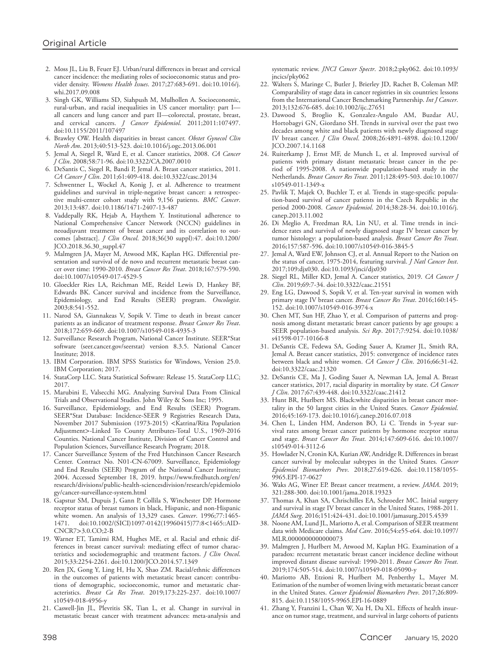- 2. Moss JL, Liu B, Feuer EJ. Urban/rural differences in breast and cervical cancer incidence: the mediating roles of socioeconomic status and provider density. *Womens Health Issues*. 2017;27:683-691. doi[:10.1016/j.](https://doi.org/10.1016/j.whi.2017.09.008) [whi.2017.09.008](https://doi.org/10.1016/j.whi.2017.09.008)
- 3. Singh GK, Williams SD, Siahpush M, Mulhollen A. Socioeconomic, rural-urban, and racial inequalities in US cancer mortality: part I all cancers and lung cancer and part II—colorectal, prostate, breast, and cervical cancers. *J Cancer Epidemiol*. 2011;2011:107497. doi[:10.1155/2011/107497](https://doi.org/10.1155/2011/107497)
- 4. Brawley OW. Health disparities in breast cancer. *Obstet Gynecol Clin North Am*. 2013;40:513-523. doi:[10.1016/j.ogc.2013.06.001](https://doi.org/10.1016/j.ogc.2013.06.001)
- 5. Jemal A, Siegel R, Ward E, et al. Cancer statistics, 2008. *CA Cancer J Clin*. 2008;58:71-96. doi:[10.3322/CA.2007.0010](https://doi.org/10.3322/CA.2007.0010)
- 6. DeSantis C, Siegel R, Bandi P, Jemal A. Breast cancer statistics, 2011. *CA Cancer J Clin*. 2011;61:409-418. doi:[10.3322/casc.20134](https://doi.org/10.3322/casc.20134)
- 7. Schwentner L, Wockel A, Konig J, et al. Adherence to treatment guidelines and survival in triple-negative breast cancer: a retrospective multi-center cohort study with 9,156 patients. *BMC Cancer*. 2013;13:487. doi[:10.1186/1471-2407-13-487](https://doi.org/10.1186/1471-2407-13-487)
- 8. Vaddepally RK, Hejab A, Haythem Y. Institutional adherence to National Comprehensive Cancer Network (NCCN) guidelines in neoadjuvant treatment of breast cancer and its correlation to outcomes [abstract]. *J Clin Oncol*. 2018;36(30 suppl):47. doi[:10.1200/](https://doi.org/10.1200/JCO.2018.36.30_suppl.47) [JCO.2018.36.30\\_suppl.47](https://doi.org/10.1200/JCO.2018.36.30_suppl.47)
- 9. Malmgren JA, Mayer M, Atwood MK, Kaplan HG. Differential presentation and survival of de novo and recurrent metastatic breast cancer over time: 1990-2010. *Breast Cancer Res Treat*. 2018;167:579-590. doi[:10.1007/s10549-017-4529-5](https://doi.org/10.1007/s10549-017-4529-5)
- 10. Gloeckler Ries LA, Reichman ME, Reidel Lewis D, Hankey BF, Edwards BK. Cancer survival and incidence from the Surveillance, Epidemiology, and End Results (SEER) program. *Oncologist*. 2003;8:541-552.
- 11. Narod SA, Giannakeas V, Sopik V. Time to death in breast cancer patients as an indicator of treatment response. *Breast Cancer Res Treat*. 2018;172:659-669. doi:[10.1007/s10549-018-4935-3](https://doi.org/10.1007/s10549-018-4935-3)
- 12. Surveillance Research Program, National Cancer Institute. SEER\*Stat software (seer.cancer.gov/seerstat) version 8.3.5. National Cancer Institute; 2018.
- 13. IBM Corporation. IBM SPSS Statistics for Windows, Version 25.0. IBM Corporation; 2017.
- 14. StataCorp LLC. Stata Statistical Software: Release 15. StataCorp LLC; 2017.
- 15. Marubini E, Valsecchi MG. Analyzing Survival Data From Clinical Trials and Observational Studies. John Wiley & Sons Inc; 1995.
- 16. Surveillance, Epidemiology, and End Results (SEER) Program. SEER\*Stat Database: Incidence-SEER 9 Registries Research Data, November 2017 Submission (1973-2015) <Katrina/Rita Population Adjustment>-Linked To County Attributes-Total U.S., 1969-2016 Counties. National Cancer Institute, Division of Cancer Control and Population Sciences, Surveillance Research Program; 2018.
- 17. Cancer Surveillance System of the Fred Hutchinson Cancer Research Center. Contract No. N01-CN-67009. Surveillance, Epidemiology and End Results (SEER) Program of the National Cancer Institute; 2004. Accessed September 18, 2019. [https://www.fredhutch.org/en/](https://www.fredhutch.org/en/research/divisions/public-health-sciencesdivision/research/epidemiology/cancer-surveillance-system.html) [research/divisions/public-health-sciencesdivision/research/epidemiolo](https://www.fredhutch.org/en/research/divisions/public-health-sciencesdivision/research/epidemiology/cancer-surveillance-system.html) [gy/cancer-surveillance-system.html](https://www.fredhutch.org/en/research/divisions/public-health-sciencesdivision/research/epidemiology/cancer-surveillance-system.html)
- 18. Gapstur SM, Dupuis J, Gann P, Collila S, Winchester DP. Hormone receptor status of breast tumors in black, Hispanic, and non-Hispanic white women. An analysis of 13,329 cases. *Cancer*. 1996;77:1465- 1471. doi[:10.1002/\(SICI\)1097-0142\(19960415\)77:8](https://doi.org/10.1002/(SICI)1097-0142(19960415)77:8%3C1465::AID-CNCR7%3E3.0.CO;2-B)<1465::AID-CNCR7>[3.0.CO;2-B](https://doi.org/10.1002/(SICI)1097-0142(19960415)77:8%3C1465::AID-CNCR7%3E3.0.CO;2-B)
- 19. Warner ET, Tamimi RM, Hughes ME, et al. Racial and ethnic differences in breast cancer survival: mediating effect of tumor characteristics and sociodemographic and treatment factors. *J Clin Oncol*. 2015;33:2254-2261. doi:[10.1200/JCO.2014.57.1349](https://doi.org/10.1200/JCO.2014.57.1349)
- 20. Ren JX, Gong Y, Ling H, Hu X, Shao ZM. Racial/ethnic differences in the outcomes of patients with metastatic breast cancer: contributions of demographic, socioeconomic, tumor and metastatic characteristics. *Breast Ca Res Treat*. 2019;173:225-237. doi[:10.1007/](https://doi.org/10.1007/s10549-018-4956-y) [s10549-018-4956-y](https://doi.org/10.1007/s10549-018-4956-y)
- 21. Caswell-Jin JL, Plevritis SK, Tian L, et al. Change in survival in metastatic breast cancer with treatment advances: meta-analysis and

systematic review. *JNCI Cancer Spectr*. 2018;2:pky062. doi:[10.1093/](https://doi.org/10.1093/jncics/pky062) [jncics/pky062](https://doi.org/10.1093/jncics/pky062)

- 22. Walters S, Maringe C, Butler J, Brierley JD, Rachet B, Coleman MP. Comparability of stage data in cancer registries in six countries: lessons from the International Cancer Benchmarking Partnership. *Int J Cancer*. 2013;132:676-685. doi[:10.1002/ijc.27651](https://doi.org/10.1002/ijc.27651)
- 23. Dawood S, Broglio K, Gonzalez-Angulo AM, Buzdar AU, Hortobagyi GN, Giordano SH. Trends in survival over the past two decades among white and black patients with newly diagnosed stage IV breast cancer. *J Clin Oncol*. 2008;26:4891-4898. doi:[10.1200/](https://doi.org/10.1200/JCO.2007.14.1168) [JCO.2007.14.1168](https://doi.org/10.1200/JCO.2007.14.1168)
- 24. Ruiterkamp J, Ernst MF, de Munch L, et al. Improved survival of patients with primary distant metastatic breast cancer in the period of 1995-2008. A nationwide population-based study in the Netherlands. *Breast Cancer Res Treat*. 2011;128:495-503. doi:[10.1007/](https://doi.org/10.1007/s10549-011-1349-x) [s10549-011-1349-x](https://doi.org/10.1007/s10549-011-1349-x)
- 25. Pavlik T, Majek O, Buchler T, et al. Trends in stage-specific population-based survival of cancer patients in the Czech Republic in the period 2000-2008. *Cancer Epidemiol*. 2014;38:28-34. doi:[10.1016/j.](https://doi.org/10.1016/j.canep.2013.11.002) [canep.2013.11.002](https://doi.org/10.1016/j.canep.2013.11.002)
- 26. Di Meglio A, Freedman RA, Lin NU, et al. Time trends in incidence rates and survival of newly diagnosed stage IV breast cancer by tumor histology: a population-based analysis. *Breast Cancer Res Treat*. 2016;157:587-596. doi[:10.1007/s10549-016-3845-5](https://doi.org/10.1007/s10549-016-3845-5)
- 27. Jemal A, Ward EW, Johnson CJ, et al. Annual Report to the Nation on the status of cancer, 1975-2014, featuring survival. *J Natl Cancer Inst*. 2017;109:djx030. doi[:10.1093/jnci/djx030](https://doi.org/10.1093/jnci/djx030)
- 28. Siegel RL, Miller KD, Jemal A. Cancer statistics, 2019. *CA Cancer J Clin*. 2019;69:7-34. doi[:10.3322/caac.21551](https://doi.org/10.3322/caac.21551)
- 29. Eng LG, Dawood S, Sopik V, et al. Ten-year survival in women with primary stage IV breast cancer. *Breast Cancer Res Treat*. 2016;160:145- 152. doi:[10.1007/s10549-016-3974-x](https://doi.org/10.1007/s10549-016-3974-x)
- 30. Chen MT, Sun HF, Zhao Y, et al. Comparison of patterns and prognosis among distant metastatic breast cancer patients by age groups: a SEER population-based analysis. *Sci Rep*. 2017;7:9254. doi:[10.1038/](https://doi.org/10.1038/s41598-017-10166-8) [s41598-017-10166-8](https://doi.org/10.1038/s41598-017-10166-8)
- 31. DeSantis CE, Fedewa SA, Goding Sauer A, Kramer JL, Smith RA, Jemal A. Breast cancer statistics, 2015: convergence of incidence rates between black and white women. *CA Cancer J Clin*. 2016;66:31-42. doi:[10.3322/caac.21320](https://doi.org/10.3322/caac.21320)
- 32. DeSantis CE, Ma J, Goding Sauer A, Newman LA, Jemal A. Breast cancer statistics, 2017, racial disparity in mortality by state. *CA Cancer J Clin*. 2017;67:439-448. doi[:10.3322/caac.21412](https://doi.org/10.3322/caac.21412)
- 33. Hunt BR, Hurlbert MS. Black:white disparities in breast cancer mortality in the 50 largest cities in the United States. *Cancer Epidemiol*. 2016;45:169-173. doi[:10.1016/j.canep.2016.07.018](https://doi.org/10.1016/j.canep.2016.07.018)
- 34. Chen L, Linden HM, Anderson BO, Li C. Trends in 5-year survival rates among breast cancer patients by hormone receptor status and stage. *Breast Cancer Res Treat*. 2014;147:609-616. doi:[10.1007/](https://doi.org/10.1007/s10549-014-3112-6) [s10549-014-3112-6](https://doi.org/10.1007/s10549-014-3112-6)
- 35. Howlader N, Cronin KA, Kurian AW, Andridge R. Differences in breast cancer survival by molecular subtypes in the United States. *Cancer Epidemiol Biomarkers Prev*. 2018;27:619-626. doi:[10.1158/1055-](https://doi.org/10.1158/1055-9965.EPI-17-0627) [9965.EPI-17-0627](https://doi.org/10.1158/1055-9965.EPI-17-0627)
- 36. Waks AG, Winer EP. Breast cancer treatment, a review. *JAMA*. 2019; 321:288-300. doi[:10.1001/jama.2018.19323](https://doi.org/10.1001/jama.2018.19323)
- 37. Thomas A, Khan SA, Chrischilles EA, Schroeder MC. Initial surgery and survival in stage IV breast cancer in the United States, 1988-2011. *JAMA Surg*. 2016;151:424-431. doi:[10.1001/jamasurg.2015.4539](https://doi.org/10.1001/jamasurg.2015.4539)
- 38. Noone AM, Lund JL, Mariotto A, et al. Comparison of SEER treatment data with Medicare claims. *Med Care*. 2016;54:e55-e64. doi:[10.1097/](https://doi.org/10.1097/MLR.0000000000000073) [MLR.0000000000000073](https://doi.org/10.1097/MLR.0000000000000073)
- 39. Malmgren J, Hurlbert M, Atwood M, Kaplan HG. Examination of a paradox: recurrent metastatic breast cancer incidence decline without improved distant disease survival: 1990-2011. *Breast Cancer Res Treat*. 2019;174:505-514. doi[:10.1007/s10549-018-05090-y](https://doi.org/10.1007/s10549-018-05090-y)
- 40. Mariotto AB, Etzioni R, Hurlbert M, Penberthy L, Mayer M. Estimation of the number of women living with metastatic breast cancer in the United States. *Cancer Epidemiol Biomarkers Prev*. 2017;26:809- 815. doi:[10.1158/1055-9965.EPI-16-0889](https://doi.org/10.1158/1055-9965.EPI-16-0889)
- 41. Zhang Y, Franzini L, Chan W, Xu H, Du XL. Effects of health insurance on tumor stage, treatment, and survival in large cohorts of patients